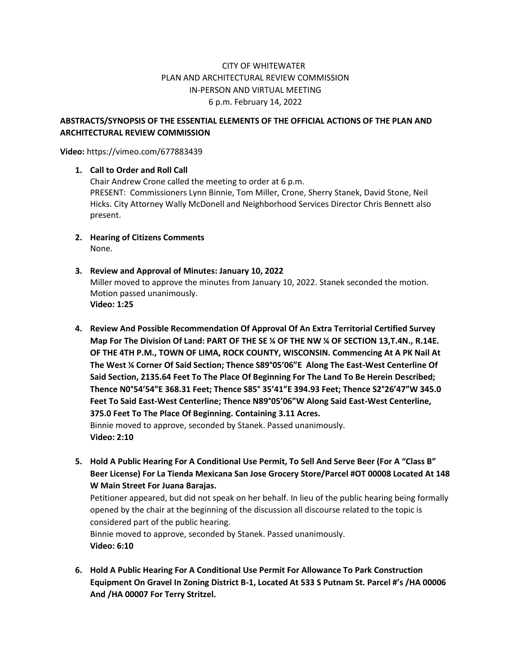## CITY OF WHITEWATER PLAN AND ARCHITECTURAL REVIEW COMMISSION IN-PERSON AND VIRTUAL MEETING 6 p.m. February 14, 2022

## **ABSTRACTS/SYNOPSIS OF THE ESSENTIAL ELEMENTS OF THE OFFICIAL ACTIONS OF THE PLAN AND ARCHITECTURAL REVIEW COMMISSION**

**Video:** https://vimeo.com/677883439

## **1. Call to Order and Roll Call**

Chair Andrew Crone called the meeting to order at 6 p.m. PRESENT: Commissioners Lynn Binnie, Tom Miller, Crone, Sherry Stanek, David Stone, Neil Hicks. City Attorney Wally McDonell and Neighborhood Services Director Chris Bennett also present.

- **2. Hearing of Citizens Comments** None.
- **3. Review and Approval of Minutes: January 10, 2022** Miller moved to approve the minutes from January 10, 2022. Stanek seconded the motion. Motion passed unanimously. **Video: 1:25**
- **4. Review And Possible Recommendation Of Approval Of An Extra Territorial Certified Survey Map For The Division Of Land: PART OF THE SE ¼ OF THE NW ¼ OF SECTION 13,T.4N., R.14E. OF THE 4TH P.M., TOWN OF LIMA, ROCK COUNTY, WISCONSIN. Commencing At A PK Nail At The West ¼ Corner Of Said Section; Thence S89°05'06"E Along The East-West Centerline Of Said Section, 2135.64 Feet To The Place Of Beginning For The Land To Be Herein Described; Thence N0°54'54"E 368.31 Feet; Thence S85° 35'41"E 394.93 Feet; Thence S2°26'47"W 345.0 Feet To Said East-West Centerline; Thence N89°05'06"W Along Said East-West Centerline, 375.0 Feet To The Place Of Beginning. Containing 3.11 Acres.** Binnie moved to approve, seconded by Stanek. Passed unanimously. **Video: 2:10**
- **5. Hold A Public Hearing For A Conditional Use Permit, To Sell And Serve Beer (For A "Class B" Beer License) For La Tienda Mexicana San Jose Grocery Store/Parcel #OT 00008 Located At 148 W Main Street For Juana Barajas.**

Petitioner appeared, but did not speak on her behalf. In lieu of the public hearing being formally opened by the chair at the beginning of the discussion all discourse related to the topic is considered part of the public hearing.

Binnie moved to approve, seconded by Stanek. Passed unanimously. **Video: 6:10**

**6. Hold A Public Hearing For A Conditional Use Permit For Allowance To Park Construction Equipment On Gravel In Zoning District B-1, Located At 533 S Putnam St. Parcel #'s /HA 00006 And /HA 00007 For Terry Stritzel.**